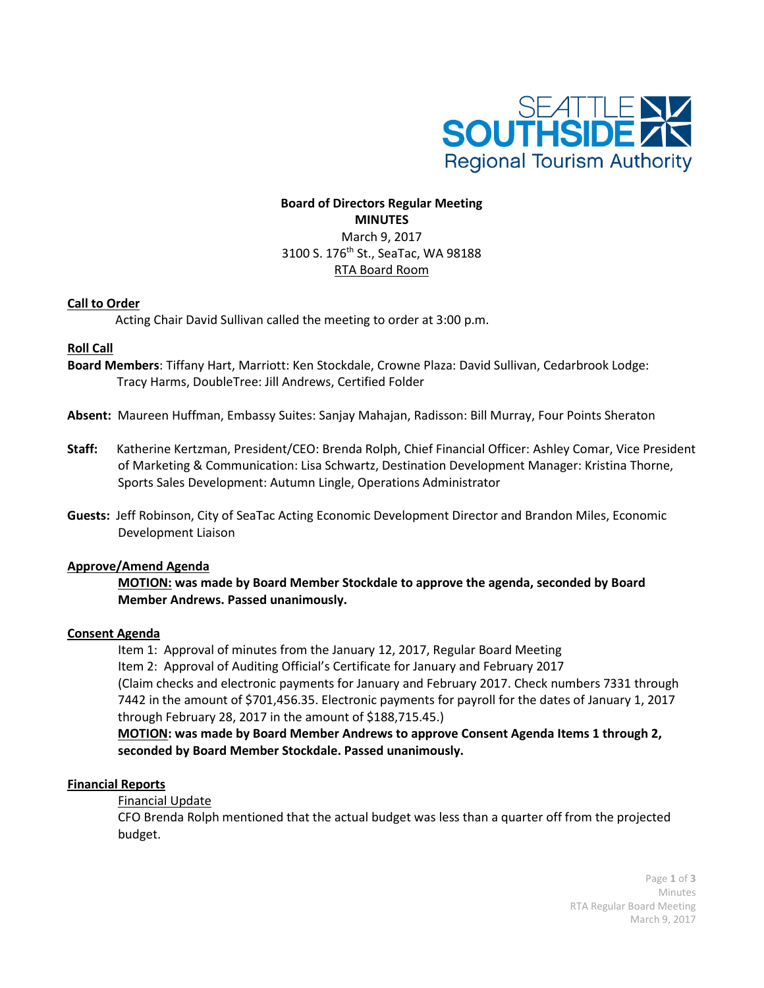

# **Board of Directors Regular Meeting MINUTES** March 9, 2017 3100 S. 176th St., SeaTac, WA 98188 RTA Board Room

### **Call to Order**

Acting Chair David Sullivan called the meeting to order at 3:00 p.m.

## **Roll Call**

- **Board Members**: Tiffany Hart, Marriott: Ken Stockdale, Crowne Plaza: David Sullivan, Cedarbrook Lodge: Tracy Harms, DoubleTree: Jill Andrews, Certified Folder
- **Absent:** Maureen Huffman, Embassy Suites: Sanjay Mahajan, Radisson: Bill Murray, Four Points Sheraton
- **Staff:** Katherine Kertzman, President/CEO: Brenda Rolph, Chief Financial Officer: Ashley Comar, Vice President of Marketing & Communication: Lisa Schwartz, Destination Development Manager: Kristina Thorne, Sports Sales Development: Autumn Lingle, Operations Administrator
- **Guests:** Jeff Robinson, City of SeaTac Acting Economic Development Director and Brandon Miles, Economic Development Liaison

#### **Approve/Amend Agenda**

**MOTION: was made by Board Member Stockdale to approve the agenda, seconded by Board Member Andrews. Passed unanimously.**

#### **Consent Agenda**

Item 1: Approval of minutes from the January 12, 2017, Regular Board Meeting Item 2: Approval of Auditing Official's Certificate for January and February 2017 (Claim checks and electronic payments for January and February 2017. Check numbers 7331 through 7442 in the amount of \$701,456.35. Electronic payments for payroll for the dates of January 1, 2017 through February 28, 2017 in the amount of \$188,715.45.)

**MOTION: was made by Board Member Andrews to approve Consent Agenda Items 1 through 2, seconded by Board Member Stockdale. Passed unanimously.**

#### **Financial Reports**

Financial Update

CFO Brenda Rolph mentioned that the actual budget was less than a quarter off from the projected budget.

> Page **1** of **3** Minutes RTA Regular Board Meeting March 9, 2017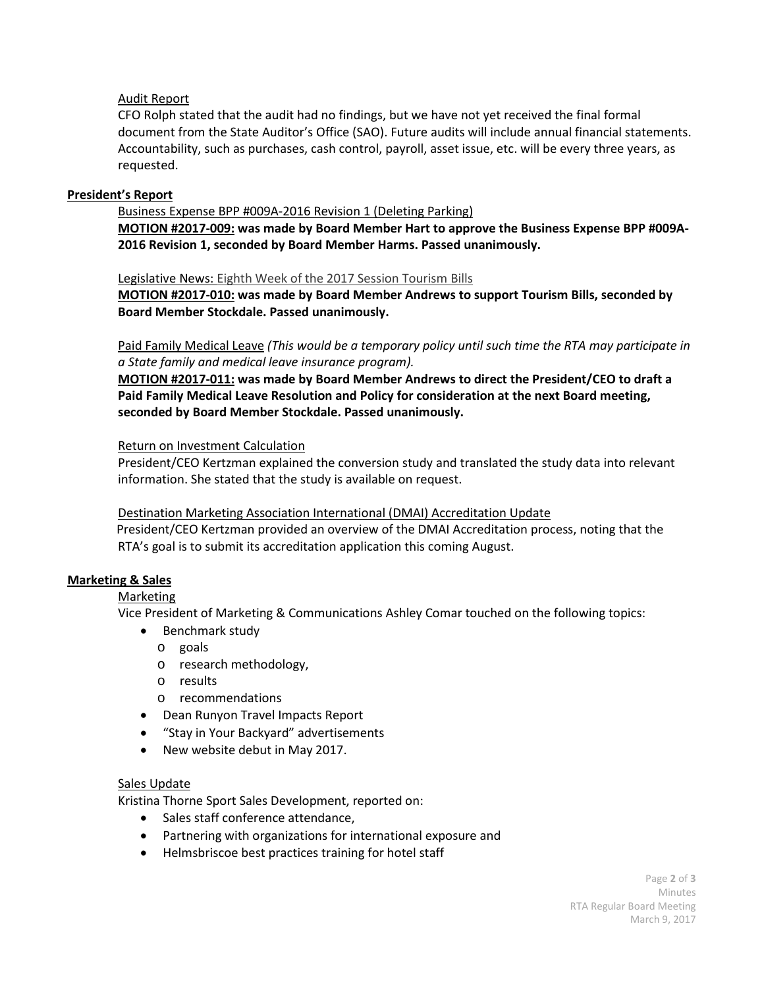# Audit Report

CFO Rolph stated that the audit had no findings, but we have not yet received the final formal document from the State Auditor's Office (SAO). Future audits will include annual financial statements. Accountability, such as purchases, cash control, payroll, asset issue, etc. will be every three years, as requested.

## **President's Report**

Business Expense BPP #009A-2016 Revision 1 (Deleting Parking) **MOTION #2017-009: was made by Board Member Hart to approve the Business Expense BPP #009A-2016 Revision 1, seconded by Board Member Harms. Passed unanimously.**

### Legislative News: Eighth Week of the 2017 Session Tourism Bills

**MOTION #2017-010: was made by Board Member Andrews to support Tourism Bills, seconded by Board Member Stockdale. Passed unanimously.**

Paid Family Medical Leave *(This would be a temporary policy until such time the RTA may participate in a State family and medical leave insurance program).*

**MOTION #2017-011: was made by Board Member Andrews to direct the President/CEO to draft a Paid Family Medical Leave Resolution and Policy for consideration at the next Board meeting, seconded by Board Member Stockdale. Passed unanimously.**

### Return on Investment Calculation

President/CEO Kertzman explained the conversion study and translated the study data into relevant information. She stated that the study is available on request.

#### Destination Marketing Association International (DMAI) Accreditation Update

 President/CEO Kertzman provided an overview of the DMAI Accreditation process, noting that the RTA's goal is to submit its accreditation application this coming August.

## **Marketing & Sales**

## Marketing

Vice President of Marketing & Communications Ashley Comar touched on the following topics:

- Benchmark study
	- o goals
	- o research methodology,
	- o results
	- o recommendations
- Dean Runyon Travel Impacts Report
- "Stay in Your Backyard" advertisements
- New website debut in May 2017.

## Sales Update

Kristina Thorne Sport Sales Development, reported on:

- Sales staff conference attendance,
- Partnering with organizations for international exposure and
- Helmsbriscoe best practices training for hotel staff